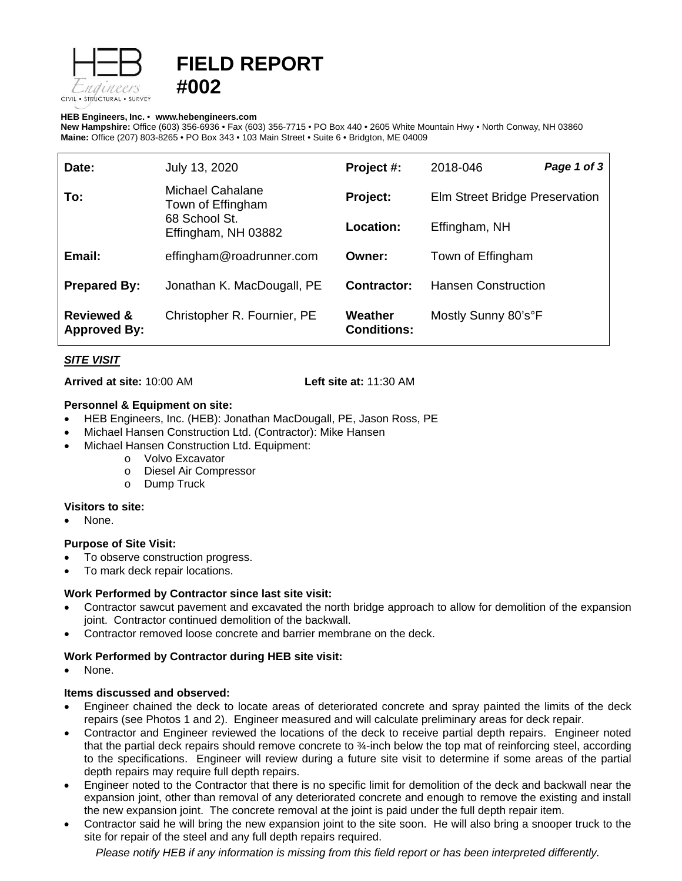

# **FIELD REPORT #002**

#### **HEB Engineers, Inc.** • **[www.hebengineer](http://www.hebengineers.com/)s.com**

**New Hampshire:** Office (603) 356-6936 • Fax (603) 356-7715 • PO Box 440 • 2605 White Mountain Hwy • North Conway, NH 03860 **Maine:** Office (207) 803-8265 • PO Box 343 • 103 Main Street • Suite 6 • Bridgton, ME 04009

| Date:                                        | July 13, 2020                                                                 | Project #:                    | 2018-046                       | Page 1 of 3 |
|----------------------------------------------|-------------------------------------------------------------------------------|-------------------------------|--------------------------------|-------------|
| To:                                          | Michael Cahalane<br>Town of Effingham<br>68 School St.<br>Effingham, NH 03882 | Project:                      | Elm Street Bridge Preservation |             |
|                                              |                                                                               | Location:                     | Effingham, NH                  |             |
| Email:                                       | effingham@roadrunner.com                                                      | Owner:                        | Town of Effingham              |             |
| <b>Prepared By:</b>                          | Jonathan K. MacDougall, PE                                                    | Contractor:                   | <b>Hansen Construction</b>     |             |
| <b>Reviewed &amp;</b><br><b>Approved By:</b> | Christopher R. Fournier, PE                                                   | Weather<br><b>Conditions:</b> | Mostly Sunny 80's°F            |             |

# *SITE VISIT*

**Arrived at site:** 10:00 AM **Left site at:** 11:30 AM

#### **Personnel & Equipment on site:**

- HEB Engineers, Inc. (HEB): Jonathan MacDougall, PE, Jason Ross, PE
- Michael Hansen Construction Ltd. (Contractor): Mike Hansen
- Michael Hansen Construction Ltd. Equipment:
	- o Volvo Excavator
	- o Diesel Air Compressor
	- o Dump Truck

#### **Visitors to site:**

None.

#### **Purpose of Site Visit:**

- To observe construction progress.
- To mark deck repair locations.

## **Work Performed by Contractor since last site visit:**

- Contractor sawcut pavement and excavated the north bridge approach to allow for demolition of the expansion joint. Contractor continued demolition of the backwall.
- Contractor removed loose concrete and barrier membrane on the deck.

## **Work Performed by Contractor during HEB site visit:**

None.

#### **Items discussed and observed:**

- Engineer chained the deck to locate areas of deteriorated concrete and spray painted the limits of the deck repairs (see Photos 1 and 2). Engineer measured and will calculate preliminary areas for deck repair.
- Contractor and Engineer reviewed the locations of the deck to receive partial depth repairs. Engineer noted that the partial deck repairs should remove concrete to ¾-inch below the top mat of reinforcing steel, according to the specifications. Engineer will review during a future site visit to determine if some areas of the partial depth repairs may require full depth repairs.
- Engineer noted to the Contractor that there is no specific limit for demolition of the deck and backwall near the expansion joint, other than removal of any deteriorated concrete and enough to remove the existing and install the new expansion joint. The concrete removal at the joint is paid under the full depth repair item.
- Contractor said he will bring the new expansion joint to the site soon. He will also bring a snooper truck to the site for repair of the steel and any full depth repairs required.

*Please notify HEB if any information is missing from this field report or has been interpreted differently.*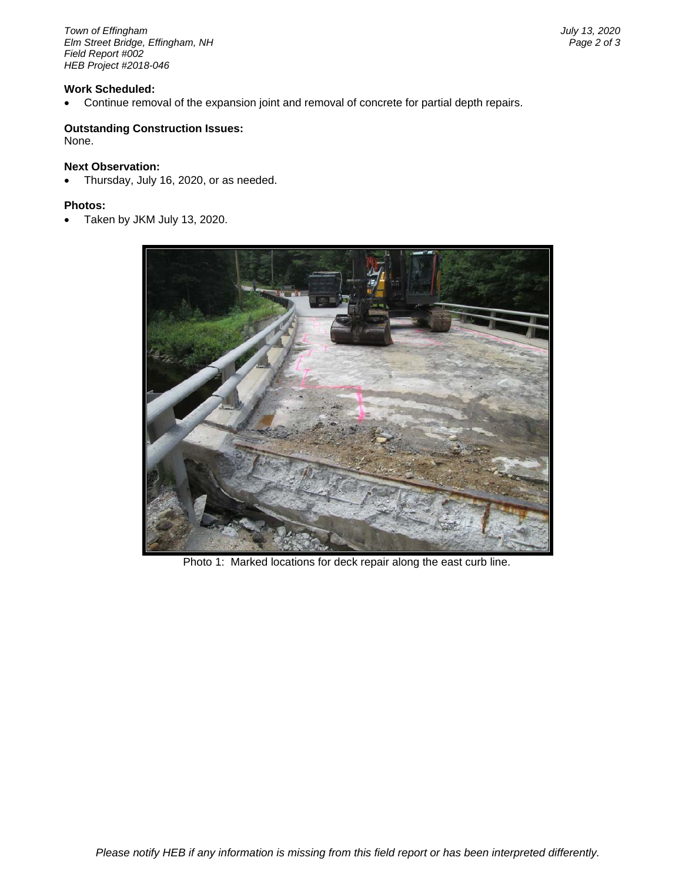*Town of Effingham July 13, 2020 <i>Elm Street Bridge, Effingham, NH Field Report #002 HEB Project #2018-046*

## **Work Scheduled:**

• Continue removal of the expansion joint and removal of concrete for partial depth repairs.

## **Outstanding Construction Issues:**

None.

#### **Next Observation:**

• Thursday, July 16, 2020, or as needed.

#### **Photos:**

• Taken by JKM July 13, 2020.



Photo 1: Marked locations for deck repair along the east curb line.